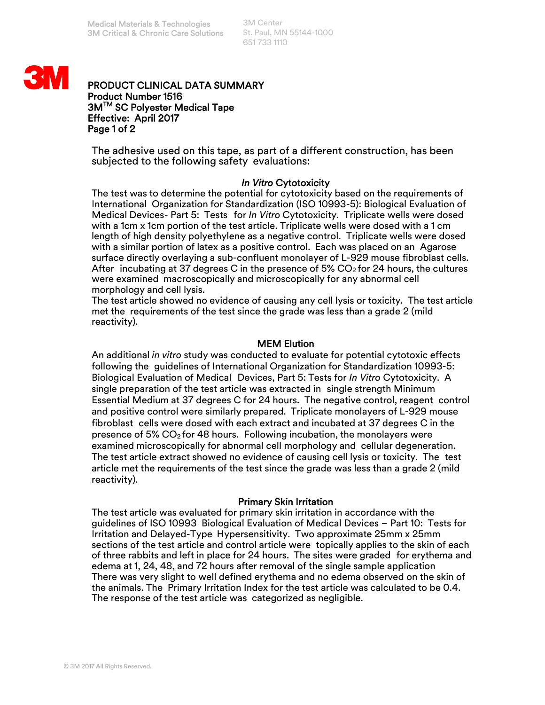3M Center St. Paul, MN 55144-1000 651 733 1110



## PRODUCT CLINICAL DATA SUMMARY Product Number 1516 3M<sup>™</sup> SC Polyester Medical Tape Effective: April 2017 Page 1 of 2

The adhesive used on this tape, as part of a different construction, has been subjected to the following safety evaluations:

## *In Vitro* Cytotoxicity

The test was to determine the potential for cytotoxicity based on the requirements of International Organization for Standardization (ISO 10993-5): Biological Evaluation of Medical Devices- Part 5: Tests for *In Vitro* Cytotoxicity. Triplicate wells were dosed with a 1cm x 1cm portion of the test article. Triplicate wells were dosed with a 1 cm length of high density polyethylene as a negative control. Triplicate wells were dosed with a similar portion of latex as a positive control. Each was placed on an Agarose surface directly overlaying a sub-confluent monolayer of L-929 mouse fibroblast cells. After incubating at 37 degrees C in the presence of 5%  $CO<sub>2</sub>$  for 24 hours, the cultures were examined macroscopically and microscopically for any abnormal cell morphology and cell lysis.

The test article showed no evidence of causing any cell lysis or toxicity. The test article met the requirements of the test since the grade was less than a grade 2 (mild reactivity).

# MEM Elution

An additional *in vitro* study was conducted to evaluate for potential cytotoxic effects following the guidelines of International Organization for Standardization 10993-5: Biological Evaluation of Medical Devices, Part 5: Tests for *In Vitro* Cytotoxicity. A single preparation of the test article was extracted in single strength Minimum Essential Medium at 37 degrees C for 24 hours. The negative control, reagent control and positive control were similarly prepared. Triplicate monolayers of L-929 mouse fibroblast cells were dosed with each extract and incubated at 37 degrees C in the presence of 5%  $CO<sub>2</sub>$  for 48 hours. Following incubation, the monolayers were examined microscopically for abnormal cell morphology and cellular degeneration. The test article extract showed no evidence of causing cell lysis or toxicity. The test article met the requirements of the test since the grade was less than a grade 2 (mild reactivity).

## Primary Skin Irritation

The test article was evaluated for primary skin irritation in accordance with the guidelines of ISO 10993 Biological Evaluation of Medical Devices – Part 10: Tests for Irritation and Delayed-Type Hypersensitivity. Two approximate 25mm x 25mm sections of the test article and control article were topically applies to the skin of each of three rabbits and left in place for 24 hours. The sites were graded for erythema and edema at 1, 24, 48, and 72 hours after removal of the single sample application There was very slight to well defined erythema and no edema observed on the skin of the animals. The Primary Irritation Index for the test article was calculated to be 0.4. The response of the test article was categorized as negligible.